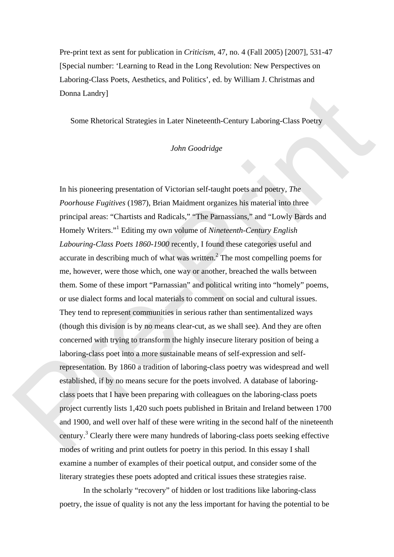Pre-print text as sent for publication in *Criticism*, 47, no. 4 (Fall 2005) [2007], 531-47 [Special number: 'Learning to Read in the Long Revolution: New Perspectives on Laboring-Class Poets, Aesthetics, and Politics', ed. by William J. Christmas and Donna Landry]

Some Rhetorical Strategies in Later Nineteenth-Century Laboring-Class Poetry

## *John Goodridge*

Donna Landy]<br>
Some Rhetorical Strategies in Later Nineteenth-Century Laboring-Class Postty<br>
Jobu Goodridge<br>
Jobu Goodridge<br>
Jobu Goodridge<br>
Probrowne Engitives (1987). Brian Maidment organizes his material into three<br>
prin In his pioneering presentation of Victorian self-taught poets and poetry, *The Poorhouse Fugitives* (1987), Brian Maidment organizes his material into three principal areas: "Chartists and Radicals," "The Parnassians," and "Lowly Bards and Homely Writers."1 Editing my own volume of *Nineteenth-Century English Labouring-Class Poets 1860-1900* recently, I found these categories useful and accurate in describing much of what was written. $<sup>2</sup>$  The most compelling poems for</sup> me, however, were those which, one way or another, breached the walls between them. Some of these import "Parnassian" and political writing into "homely" poems, or use dialect forms and local materials to comment on social and cultural issues. They tend to represent communities in serious rather than sentimentalized ways (though this division is by no means clear-cut, as we shall see). And they are often concerned with trying to transform the highly insecure literary position of being a laboring-class poet into a more sustainable means of self-expression and selfrepresentation. By 1860 a tradition of laboring-class poetry was widespread and well established, if by no means secure for the poets involved. A database of laboringclass poets that I have been preparing with colleagues on the laboring-class poets project currently lists 1,420 such poets published in Britain and Ireland between 1700 and 1900, and well over half of these were writing in the second half of the nineteenth century.3 Clearly there were many hundreds of laboring-class poets seeking effective modes of writing and print outlets for poetry in this period. In this essay I shall examine a number of examples of their poetical output, and consider some of the literary strategies these poets adopted and critical issues these strategies raise.

> In the scholarly "recovery" of hidden or lost traditions like laboring-class poetry, the issue of quality is not any the less important for having the potential to be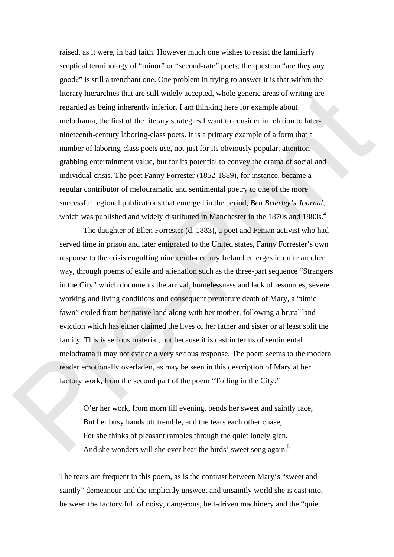raised, as it were, in bad faith. However much one wishes to resist the familiarly sceptical terminology of "minor" or "second-rate" poets, the question "are they any good?" is still a trenchant one. One problem in trying to answer it is that within the literary hierarchies that are still widely accepted, whole generic areas of writing are regarded as being inherently inferior. I am thinking here for example about melodrama, the first of the literary strategies I want to consider in relation to laternineteenth-century laboring-class poets. It is a primary example of a form that a number of laboring-class poets use, not just for its obviously popular, attentiongrabbing entertainment value, but for its potential to convey the drama of social and individual crisis. The poet Fanny Forrester (1852-1889), for instance, became a regular contributor of melodramatic and sentimental poetry to one of the more successful regional publications that emerged in the period, *Ben Brierley's Journal*, which was published and widely distributed in Manchester in the 1870s and 1880s.<sup>4</sup>

literary hierarchies that are still widely accepted, whole generic areas of writing are<br>reached as being inherentity inferior. Tan thinking here for example about the melodrana, the first of the iterary strangles I want t The daughter of Ellen Forrester (d. 1883), a poet and Fenian activist who had served time in prison and later emigrated to the United states, Fanny Forrester's own response to the crisis engulfing nineteenth-century Ireland emerges in quite another way, through poems of exile and alienation such as the three-part sequence "Strangers in the City" which documents the arrival, homelessness and lack of resources, severe working and living conditions and consequent premature death of Mary, a "timid fawn" exiled from her native land along with her mother, following a brutal land eviction which has either claimed the lives of her father and sister or at least split the family. This is serious material, but because it is cast in terms of sentimental melodrama it may not evince a very serious response. The poem seems to the modern reader emotionally overladen, as may be seen in this description of Mary at her factory work, from the second part of the poem "Toiling in the City:"

O'er her work, from morn till evening, bends her sweet and saintly face, But her busy hands oft tremble, and the tears each other chase; For she thinks of pleasant rambles through the quiet lonely glen, And she wonders will she ever hear the birds' sweet song again.<sup>5</sup>

The tears are frequent in this poem, as is the contrast between Mary's "sweet and saintly" demeanour and the implicitly unsweet and unsaintly world she is cast into, between the factory full of noisy, dangerous, belt-driven machinery and the "quiet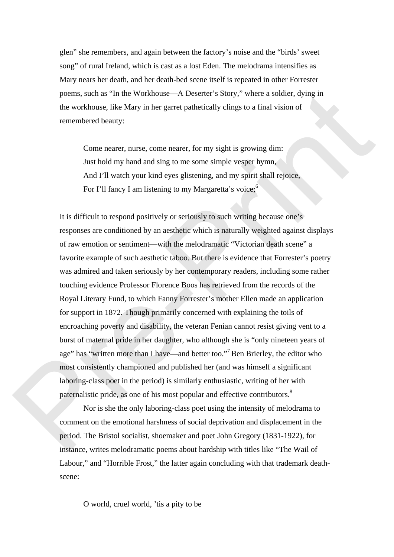glen" she remembers, and again between the factory's noise and the "birds' sweet song" of rural Ireland, which is cast as a lost Eden. The melodrama intensifies as Mary nears her death, and her death-bed scene itself is repeated in other Forrester poems, such as "In the Workhouse—A Deserter's Story," where a soldier, dying in the workhouse, like Mary in her garret pathetically clings to a final vision of remembered beauty:

Come nearer, nurse, come nearer, for my sight is growing dim: Just hold my hand and sing to me some simple vesper hymn, And I'll watch your kind eyes glistening, and my spirit shall rejoice, For I'll fancy I am listening to my Margaretta's voice;<sup>6</sup>

poons, such as "In the Workhouse - A Deserter's Story," where a soldier, dying in<br>the workhouse. Like Mary in her graret pathetically clings to a final vision of<br>remembered heatury.<br>Come nearer, muse, come nearer, for my It is difficult to respond positively or seriously to such writing because one's responses are conditioned by an aesthetic which is naturally weighted against displays of raw emotion or sentiment—with the melodramatic "Victorian death scene" a favorite example of such aesthetic taboo. But there is evidence that Forrester's poetry was admired and taken seriously by her contemporary readers, including some rather touching evidence Professor Florence Boos has retrieved from the records of the Royal Literary Fund, to which Fanny Forrester's mother Ellen made an application for support in 1872. Though primarily concerned with explaining the toils of encroaching poverty and disability, the veteran Fenian cannot resist giving vent to a burst of maternal pride in her daughter, who although she is "only nineteen years of age" has "written more than I have—and better too."7 Ben Brierley, the editor who most consistently championed and published her (and was himself a significant laboring-class poet in the period) is similarly enthusiastic, writing of her with paternalistic pride, as one of his most popular and effective contributors.<sup>8</sup>

 Nor is she the only laboring-class poet using the intensity of melodrama to comment on the emotional harshness of social deprivation and displacement in the period. The Bristol socialist, shoemaker and poet John Gregory (1831-1922), for instance, writes melodramatic poems about hardship with titles like "The Wail of Labour," and "Horrible Frost," the latter again concluding with that trademark deathscene:

O world, cruel world, 'tis a pity to be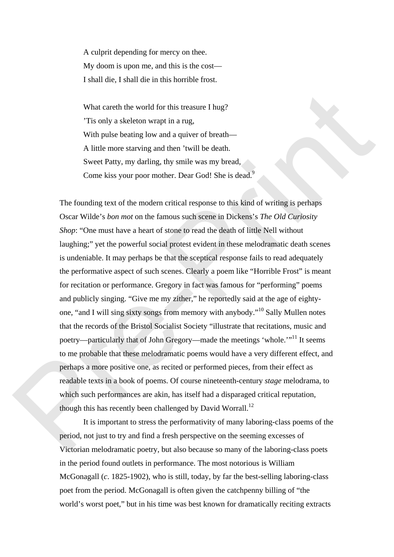A culprit depending for mercy on thee. My doom is upon me, and this is the cost— I shall die, I shall die in this horrible frost.

What careth the world for this treasure I hug? 'Tis only a skeleton wrapt in a rug, With pulse beating low and a quiver of breath— A little more starving and then 'twill be death. Sweet Patty, my darling, thy smile was my bread, Come kiss your poor mother. Dear God! She is dead.<sup>9</sup>

What carefli the world for this treasure I lung?<br>
"It's only a skeletor wright in a ring.<br>
Nift puble beating low and a quiver of breath-<br>
A little more starcing and then i will be elect.<br>
Severe Patty, any derling, thy s The founding text of the modern critical response to this kind of writing is perhaps Oscar Wilde's *bon mot* on the famous such scene in Dickens's *The Old Curiosity Shop*: "One must have a heart of stone to read the death of little Nell without laughing;" yet the powerful social protest evident in these melodramatic death scenes is undeniable. It may perhaps be that the sceptical response fails to read adequately the performative aspect of such scenes. Clearly a poem like "Horrible Frost" is meant for recitation or performance. Gregory in fact was famous for "performing" poems and publicly singing. "Give me my zither," he reportedly said at the age of eightyone, "and I will sing sixty songs from memory with anybody."10 Sally Mullen notes that the records of the Bristol Socialist Society "illustrate that recitations, music and poetry—particularly that of John Gregory—made the meetings 'whole.'"<sup>11</sup> It seems to me probable that these melodramatic poems would have a very different effect, and perhaps a more positive one, as recited or performed pieces, from their effect as readable texts in a book of poems. Of course nineteenth-century *stage* melodrama, to which such performances are akin, has itself had a disparaged critical reputation, though this has recently been challenged by David Worrall.<sup>12</sup>

 It is important to stress the performativity of many laboring-class poems of the period, not just to try and find a fresh perspective on the seeming excesses of Victorian melodramatic poetry, but also because so many of the laboring-class poets in the period found outlets in performance. The most notorious is William McGonagall (*c*. 1825-1902), who is still, today, by far the best-selling laboring-class poet from the period. McGonagall is often given the catchpenny billing of "the world's worst poet," but in his time was best known for dramatically reciting extracts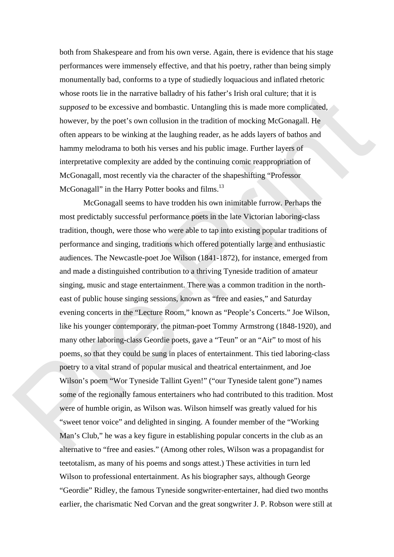both from Shakespeare and from his own verse. Again, there is evidence that his stage performances were immensely effective, and that his poetry, rather than being simply monumentally bad, conforms to a type of studiedly loquacious and inflated rhetoric whose roots lie in the narrative balladry of his father's Irish oral culture; that it is *supposed* to be excessive and bombastic. Untangling this is made more complicated, however, by the poet's own collusion in the tradition of mocking McGonagall. He often appears to be winking at the laughing reader, as he adds layers of bathos and hammy melodrama to both his verses and his public image. Further layers of interpretative complexity are added by the continuing comic reappropriation of McGonagall, most recently via the character of the shapeshifting "Professor McGonagall" in the Harry Potter books and films.<sup>13</sup>

whose roots lie in the narrative balladry of his frather's Irish oral culture; that it is<br>
supposed to be excessive and bondoatic. Ultaralign this is made more complicated.<br>
However, by the post's two neullusion in the ra McGonagall seems to have trodden his own inimitable furrow. Perhaps the most predictably successful performance poets in the late Victorian laboring-class tradition, though, were those who were able to tap into existing popular traditions of performance and singing, traditions which offered potentially large and enthusiastic audiences. The Newcastle-poet Joe Wilson (1841-1872), for instance, emerged from and made a distinguished contribution to a thriving Tyneside tradition of amateur singing, music and stage entertainment. There was a common tradition in the northeast of public house singing sessions, known as "free and easies," and Saturday evening concerts in the "Lecture Room," known as "People's Concerts." Joe Wilson, like his younger contemporary, the pitman-poet Tommy Armstrong (1848-1920), and many other laboring-class Geordie poets, gave a "Teun" or an "Air" to most of his poems, so that they could be sung in places of entertainment. This tied laboring-class poetry to a vital strand of popular musical and theatrical entertainment, and Joe Wilson's poem "Wor Tyneside Tallint Gyen!" ("our Tyneside talent gone") names some of the regionally famous entertainers who had contributed to this tradition. Most were of humble origin, as Wilson was. Wilson himself was greatly valued for his "sweet tenor voice" and delighted in singing. A founder member of the "Working Man's Club," he was a key figure in establishing popular concerts in the club as an alternative to "free and easies." (Among other roles, Wilson was a propagandist for teetotalism, as many of his poems and songs attest.) These activities in turn led Wilson to professional entertainment. As his biographer says, although George "Geordie" Ridley, the famous Tyneside songwriter-entertainer, had died two months earlier, the charismatic Ned Corvan and the great songwriter J. P. Robson were still at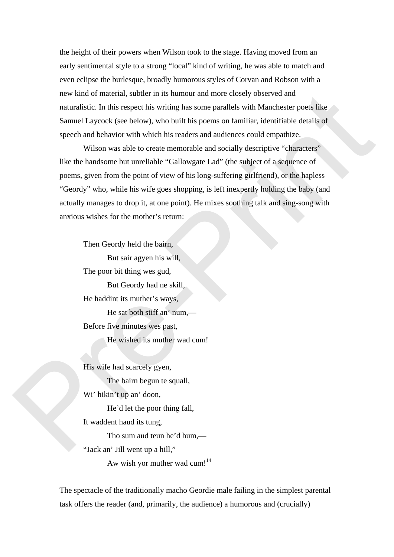the height of their powers when Wilson took to the stage. Having moved from an early sentimental style to a strong "local" kind of writing, he was able to match and even eclipse the burlesque, broadly humorous styles of Corvan and Robson with a new kind of material, subtler in its humour and more closely observed and naturalistic. In this respect his writing has some parallels with Manchester poets like Samuel Laycock (see below), who built his poems on familiar, identifiable details of speech and behavior with which his readers and audiences could empathize.

new kind of material, subtler in its bumour and note closely observed and<br>naturalize. In this respect is writing has some parallels with Matchesier posts like<br>Surmust Laycest is sected is writing its some parallel such Ma Wilson was able to create memorable and socially descriptive "characters" like the handsome but unreliable "Gallowgate Lad" (the subject of a sequence of poems, given from the point of view of his long-suffering girlfriend), or the hapless "Geordy" who, while his wife goes shopping, is left inexpertly holding the baby (and actually manages to drop it, at one point). He mixes soothing talk and sing-song with anxious wishes for the mother's return:

Then Geordy held the bairn, But sair agyen his will, The poor bit thing wes gud, But Geordy had ne skill, He haddint its muther's ways, He sat both stiff an' num,— Before five minutes wes past, He wished its muther wad cum!

His wife had scarcely gyen, The bairn begun te squall, Wi' hikin't up an' doon, He'd let the poor thing fall, It waddent haud its tung, Tho sum aud teun he'd hum,— "Jack an' Jill went up a hill,"

Aw wish yor muther wad cum!<sup>14</sup>

The spectacle of the traditionally macho Geordie male failing in the simplest parental task offers the reader (and, primarily, the audience) a humorous and (crucially)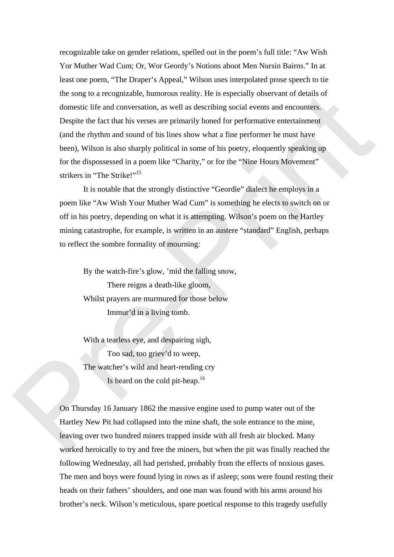the song to a recognizable, humorous reality. He is especially observant of details of<br>
obnestic life cal conversation, as well as describing social versens and encounders<br>
Despite the fact that his verses are primarily b recognizable take on gender relations, spelled out in the poem's full title: "Aw Wish Yor Muther Wad Cum; Or, Wor Geordy's Notions aboot Men Nursin Bairns." In at least one poem, "The Draper's Appeal," Wilson uses interpolated prose speech to tie the song to a recognizable, humorous reality. He is especially observant of details of domestic life and conversation, as well as describing social events and encounters. Despite the fact that his verses are primarily honed for performative entertainment (and the rhythm and sound of his lines show what a fine performer he must have been), Wilson is also sharply political in some of his poetry, eloquently speaking up for the dispossessed in a poem like "Charity," or for the "Nine Hours Movement" strikers in "The Strike!"<sup>15</sup>

It is notable that the strongly distinctive "Geordie" dialect he employs in a poem like "Aw Wish Your Muther Wad Cum" is something he elects to switch on or off in his poetry, depending on what it is attempting. Wilson's poem on the Hartley mining catastrophe, for example, is written in an austere "standard" English, perhaps to reflect the sombre formality of mourning:

By the watch-fire's glow, 'mid the falling snow,

 There reigns a death-like gloom, Whilst prayers are murmured for those below Immur'd in a living tomb.

With a tearless eye, and despairing sigh, Too sad, too griev'd to weep, The watcher's wild and heart-rending cry Is heard on the cold pit-heap. $16$ 

On Thursday 16 January 1862 the massive engine used to pump water out of the Hartley New Pit had collapsed into the mine shaft, the sole entrance to the mine, leaving over two hundred miners trapped inside with all fresh air blocked. Many worked heroically to try and free the miners, but when the pit was finally reached the following Wednesday, all had perished, probably from the effects of noxious gases. The men and boys were found lying in rows as if asleep; sons were found resting their heads on their fathers' shoulders, and one man was found with his arms around his brother's neck. Wilson's meticulous, spare poetical response to this tragedy usefully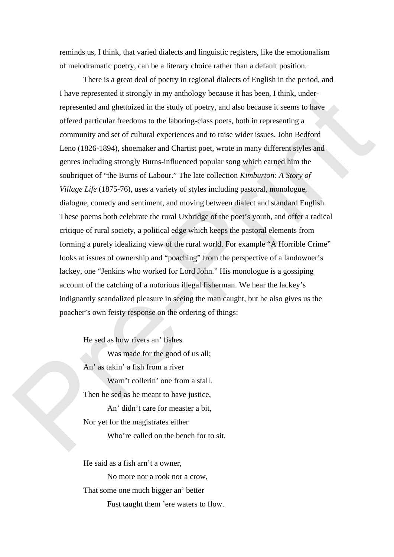reminds us, I think, that varied dialects and linguistic registers, like the emotionalism of melodramatic poetry, can be a literary choice rather than a default position.

I have represented it strongly in my ambology becauss it has been, 1 think, under-<br>represented and glettebized in the study of poetry, and also because it seems to have<br>offered particular freedoms to the laboring-class po There is a great deal of poetry in regional dialects of English in the period, and I have represented it strongly in my anthology because it has been, I think, underrepresented and ghettoized in the study of poetry, and also because it seems to have offered particular freedoms to the laboring-class poets, both in representing a community and set of cultural experiences and to raise wider issues. John Bedford Leno (1826-1894), shoemaker and Chartist poet, wrote in many different styles and genres including strongly Burns-influenced popular song which earned him the soubriquet of "the Burns of Labour." The late collection *Kimburton: A Story of Village Life* (1875-76), uses a variety of styles including pastoral, monologue, dialogue, comedy and sentiment, and moving between dialect and standard English. These poems both celebrate the rural Uxbridge of the poet's youth, and offer a radical critique of rural society, a political edge which keeps the pastoral elements from forming a purely idealizing view of the rural world. For example "A Horrible Crime" looks at issues of ownership and "poaching" from the perspective of a landowner's lackey, one "Jenkins who worked for Lord John." His monologue is a gossiping account of the catching of a notorious illegal fisherman. We hear the lackey's indignantly scandalized pleasure in seeing the man caught, but he also gives us the poacher's own feisty response on the ordering of things:

He sed as how rivers an' fishes

 Was made for the good of us all; An' as takin' a fish from a river

Warn't collerin' one from a stall. Then he sed as he meant to have justice,

 An' didn't care for measter a bit, Nor yet for the magistrates either

Who're called on the bench for to sit.

He said as a fish arn't a owner,

 No more nor a rook nor a crow, That some one much bigger an' better Fust taught them 'ere waters to flow.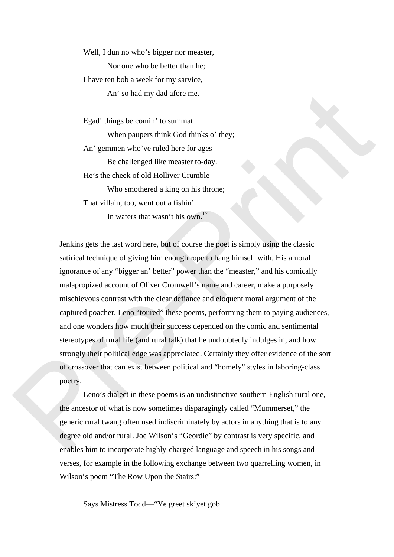Well, I dun no who's bigger nor measter, Nor one who be better than he; I have ten bob a week for my sarvice, An' so had my dad afore me.

Egad! things be comin' to summat

 When paupers think God thinks o' they; An' gemmen who've ruled here for ages Be challenged like measter to-day. He's the cheek of old Holliver Crumble Who smothered a king on his throne; That villain, too, went out a fishin' In waters that wasn't his own.<sup>17</sup>

An' so had my dad afore me.<br>
Figad! things be comin' to summart<br>
When panyers think God thinks o' they;<br>
An' genume who ve nuled thee for ages<br>
Be challenged like measure to-day.<br>
He's the cheek of old Holliver Crumble<br>
W Jenkins gets the last word here, but of course the poet is simply using the classic satirical technique of giving him enough rope to hang himself with. His amoral ignorance of any "bigger an' better" power than the "measter," and his comically malapropized account of Oliver Cromwell's name and career, make a purposely mischievous contrast with the clear defiance and eloquent moral argument of the captured poacher. Leno "toured" these poems, performing them to paying audiences, and one wonders how much their success depended on the comic and sentimental stereotypes of rural life (and rural talk) that he undoubtedly indulges in, and how strongly their political edge was appreciated. Certainly they offer evidence of the sort of crossover that can exist between political and "homely" styles in laboring-class poetry.

 Leno's dialect in these poems is an undistinctive southern English rural one, the ancestor of what is now sometimes disparagingly called "Mummerset," the generic rural twang often used indiscriminately by actors in anything that is to any degree old and/or rural. Joe Wilson's "Geordie" by contrast is very specific, and enables him to incorporate highly-charged language and speech in his songs and verses, for example in the following exchange between two quarrelling women, in Wilson's poem "The Row Upon the Stairs:"

Says Mistress Todd—"Ye greet sk'yet gob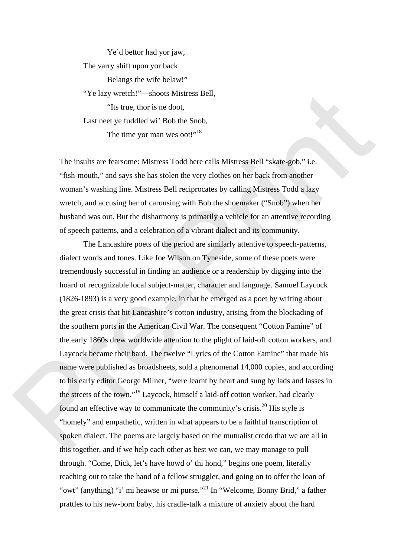Ye'd bettor had yor jaw, The varry shift upon yor back Belangs the wife belaw!" "Ye lazy wretch!"—shoots Mistress Bell, "Its true, thor is ne doot, Last neet ye fuddled wi' Bob the Snob, The time yor man wes oot!"<sup>18</sup>

The insults are fearsome: Mistress Todd here calls Mistress Bell "skate-gob," i.e. "fish-mouth," and says she has stolen the very clothes on her back from another woman's washing line. Mistress Bell reciprocates by calling Mistress Todd a lazy wretch, and accusing her of carousing with Bob the shoemaker ("Snob") when her husband was out. But the disharmony is primarily a vehicle for an attentive recording of speech patterns, and a celebration of a vibrant dialect and its community.

"Ye lazy wetch!" - shoots Misreess Bell,<br>
"Its two that eacht,<br>
"Its two the is doot,<br>
1-ast roce ty eriadical wi" leb the Smoh,<br>
The time yor man wes coef!"<br>
The insults are fearsome: Misreess Todd here calls Misreess Be The Lancashire poets of the period are similarly attentive to speech-patterns, dialect words and tones. Like Joe Wilson on Tyneside, some of these poets were tremendously successful in finding an audience or a readership by digging into the hoard of recognizable local subject-matter, character and language. Samuel Laycock (1826-1893) is a very good example, in that he emerged as a poet by writing about the great crisis that hit Lancashire's cotton industry, arising from the blockading of the southern ports in the American Civil War. The consequent "Cotton Famine" of the early 1860s drew worldwide attention to the plight of laid-off cotton workers, and Laycock became their bard. The twelve "Lyrics of the Cotton Famine" that made his name were published as broadsheets, sold a phenomenal 14,000 copies, and according to his early editor George Milner, "were learnt by heart and sung by lads and lasses in the streets of the town."19 Laycock, himself a laid-off cotton worker, had clearly found an effective way to communicate the community's crisis.<sup>20</sup> His style is "homely" and empathetic, written in what appears to be a faithful transcription of spoken dialect. The poems are largely based on the mutualist credo that we are all in this together, and if we help each other as best we can, we may manage to pull through. "Come, Dick, let's have howd o' thi hond," begins one poem, literally reaching out to take the hand of a fellow struggler, and going on to offer the loan of "owt" (anything) "i' mi heawse or mi purse."21 In "Welcome, Bonny Brid," a father prattles to his new-born baby, his cradle-talk a mixture of anxiety about the hard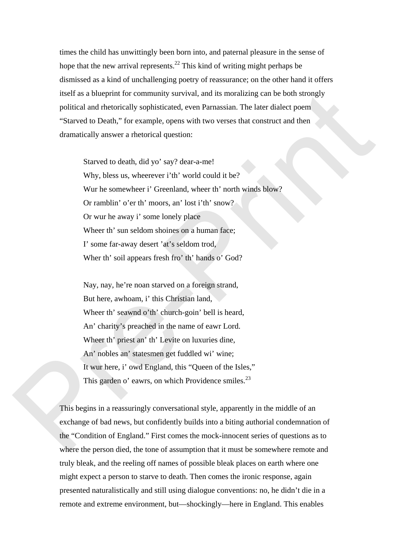times the child has unwittingly been born into, and paternal pleasure in the sense of hope that the new arrival represents.<sup>22</sup> This kind of writing might perhaps be dismissed as a kind of unchallenging poetry of reassurance; on the other hand it offers itself as a blueprint for community survival, and its moralizing can be both strongly political and rhetorically sophisticated, even Parnassian. The later dialect poem "Starved to Death," for example, opens with two verses that construct and then dramatically answer a rhetorical question:

itself as a blueprint for community survival, and its moralizing can be both strongly<br>
policical and metodically sophisticaled, even Paranssian. The later dialect poen<br>
"Strarved to Death," for example, opens with two ver Starved to death, did yo' say? dear-a-me! Why, bless us, wheerever i'th' world could it be? Wur he somewheer i' Greenland, wheer th' north winds blow? Or ramblin' o'er th' moors, an' lost i'th' snow? Or wur he away i' some lonely place Wheer th' sun seldom shoines on a human face; I' some far-away desert 'at's seldom trod, Wher th' soil appears fresh fro' th' hands o' God?

Nay, nay, he're noan starved on a foreign strand, But here, awhoam, i' this Christian land, Wheer th' seawnd o'th' church-goin' bell is heard, An' charity's preached in the name of eawr Lord. Wheer th' priest an' th' Levite on luxuries dine, An' nobles an' statesmen get fuddled wi' wine; It wur here, i' owd England, this "Queen of the Isles," This garden  $\sigma$ ' eawrs, on which Providence smiles.<sup>23</sup>

This begins in a reassuringly conversational style, apparently in the middle of an exchange of bad news, but confidently builds into a biting authorial condemnation of the "Condition of England." First comes the mock-innocent series of questions as to where the person died, the tone of assumption that it must be somewhere remote and truly bleak, and the reeling off names of possible bleak places on earth where one might expect a person to starve to death. Then comes the ironic response, again presented naturalistically and still using dialogue conventions: no, he didn't die in a remote and extreme environment, but—shockingly—here in England. This enables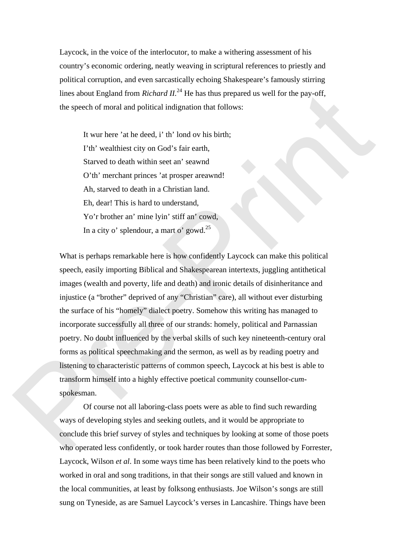Laycock, in the voice of the interlocutor, to make a withering assessment of his country's economic ordering, neatly weaving in scriptural references to priestly and political corruption, and even sarcastically echoing Shakespeare's famously stirring lines about England from *Richard II*.<sup>24</sup> He has thus prepared us well for the pay-off, the speech of moral and political indignation that follows:

It wur here 'at he deed, i' th' lond ov his birth; I'th' wealthiest city on God's fair earth, Starved to death within seet an' seawnd O'th' merchant princes 'at prosper areawnd! Ah, starved to death in a Christian land. Eh, dear! This is hard to understand, Yo'r brother an' mine lyin' stiff an' cowd, In a city o' splendour, a mart o' gowd.<sup>25</sup>

lines about England from *Richard II*.<sup>26</sup> He has thus prepared us well for the pay-off,<br>the speech of moral and political indigantion that follows:<br>The "wealthiest city on God's fair enth,<br>The "wealthiest city on God's f What is perhaps remarkable here is how confidently Laycock can make this political speech, easily importing Biblical and Shakespearean intertexts, juggling antithetical images (wealth and poverty, life and death) and ironic details of disinheritance and injustice (a "brother" deprived of any "Christian" care), all without ever disturbing the surface of his "homely" dialect poetry. Somehow this writing has managed to incorporate successfully all three of our strands: homely, political and Parnassian poetry. No doubt influenced by the verbal skills of such key nineteenth-century oral forms as political speechmaking and the sermon, as well as by reading poetry and listening to characteristic patterns of common speech, Laycock at his best is able to transform himself into a highly effective poetical community counsellor-*cum*spokesman.

 Of course not all laboring-class poets were as able to find such rewarding ways of developing styles and seeking outlets, and it would be appropriate to conclude this brief survey of styles and techniques by looking at some of those poets who operated less confidently, or took harder routes than those followed by Forrester, Laycock, Wilson *et al*. In some ways time has been relatively kind to the poets who worked in oral and song traditions, in that their songs are still valued and known in the local communities, at least by folksong enthusiasts. Joe Wilson's songs are still sung on Tyneside, as are Samuel Laycock's verses in Lancashire. Things have been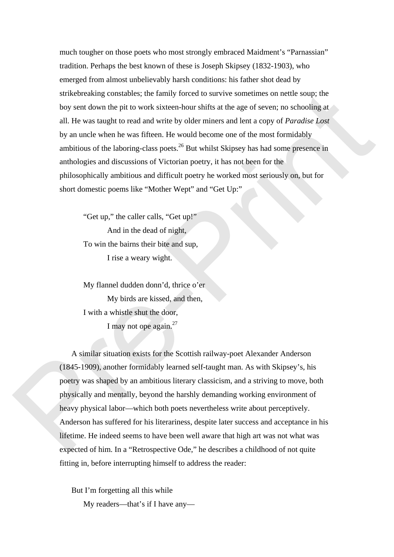strikebreaking constables; the family forced to survive sometines on nettle soup; the<br>
by sent down the pit to work sixteen bour shifts at the age of seven, an ochooling at<br>
at H. He was taught to read and witte by older much tougher on those poets who most strongly embraced Maidment's "Parnassian" tradition. Perhaps the best known of these is Joseph Skipsey (1832-1903), who emerged from almost unbelievably harsh conditions: his father shot dead by strikebreaking constables; the family forced to survive sometimes on nettle soup; the boy sent down the pit to work sixteen-hour shifts at the age of seven; no schooling at all. He was taught to read and write by older miners and lent a copy of *Paradise Lost* by an uncle when he was fifteen. He would become one of the most formidably ambitious of the laboring-class poets.<sup>26</sup> But whilst Skipsey has had some presence in anthologies and discussions of Victorian poetry, it has not been for the philosophically ambitious and difficult poetry he worked most seriously on, but for short domestic poems like "Mother Wept" and "Get Up:"

"Get up," the caller calls, "Get up!" And in the dead of night, To win the bairns their bite and sup, I rise a weary wight.

My flannel dudden donn'd, thrice o'er My birds are kissed, and then, I with a whistle shut the door, I may not ope again. $27$ 

A similar situation exists for the Scottish railway-poet Alexander Anderson (1845-1909), another formidably learned self-taught man. As with Skipsey's, his poetry was shaped by an ambitious literary classicism, and a striving to move, both physically and mentally, beyond the harshly demanding working environment of heavy physical labor—which both poets nevertheless write about perceptively. Anderson has suffered for his literariness, despite later success and acceptance in his lifetime. He indeed seems to have been well aware that high art was not what was expected of him. In a "Retrospective Ode," he describes a childhood of not quite fitting in, before interrupting himself to address the reader:

But I'm forgetting all this while

My readers—that's if I have any—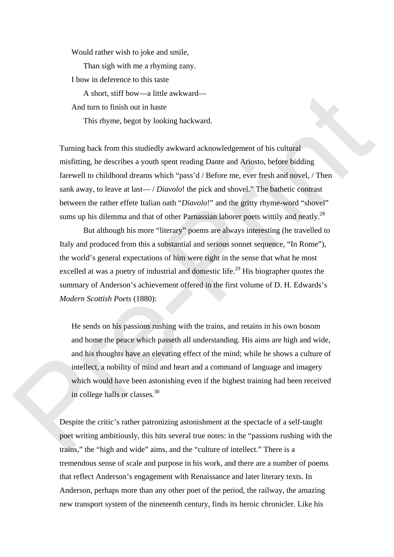Would rather wish to joke and smile,

Than sigh with me a rhyming zany.

I bow in deference to this taste

A short, stiff bow—a little awkward—

And turn to finish out in haste

This rhyme, begot by looking backward.

Turning back from this studiedly awkward acknowledgement of his cultural misfitting, he describes a youth spent reading Dante and Ariosto, before bidding farewell to childhood dreams which "pass'd / Before me, ever fresh and novel, / Then sank away, to leave at last— / *Diavolo*! the pick and shovel." The bathetic contrast between the rather effete Italian oath "*Diavolo*!" and the gritty rhyme-word "shovel" sums up his dilemma and that of other Parnassian laborer poets wittily and neatly.<sup>28</sup>

A short, stiff bow a little awkward<br>
And un obe finish out in haste of the stiff out in has the transformation of this collume that the most invisoring back from this subtledy awkward ecknowledgement of his collured<br>
misi But although his more "literary" poems are always interesting (he travelled to Italy and produced from this a substantial and serious sonnet sequence, "In Rome"), the world's general expectations of him were right in the sense that what he most excelled at was a poetry of industrial and domestic life.<sup>29</sup> His biographer quotes the summary of Anderson's achievement offered in the first volume of D. H. Edwards's *Modern Scottish Poets* (1880):

He sends on his passions rushing with the trains, and retains in his own bosom and home the peace which passeth all understanding. His aims are high and wide, and his thoughts have an elevating effect of the mind; while he shows a culture of intellect, a nobility of mind and heart and a command of language and imagery which would have been astonishing even if the highest training had been received in college halls or classes.30

Despite the critic's rather patronizing astonishment at the spectacle of a self-taught poet writing ambitiously, this hits several true notes: in the "passions rushing with the trains," the "high and wide" aims, and the "culture of intellect." There is a tremendous sense of scale and purpose in his work, and there are a number of poems that reflect Anderson's engagement with Renaissance and later literary texts. In Anderson, perhaps more than any other poet of the period, the railway, the amazing new transport system of the nineteenth century, finds its heroic chronicler. Like his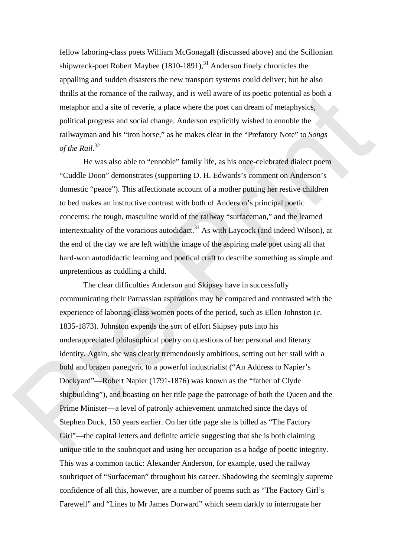fellow laboring-class poets William McGonagall (discussed above) and the Scillonian shipwreck-poet Robert Maybee  $(1810-1891)$ ,<sup>31</sup> Anderson finely chronicles the appalling and sudden disasters the new transport systems could deliver; but he also thrills at the romance of the railway, and is well aware of its poetic potential as both a metaphor and a site of reverie, a place where the poet can dream of metaphysics, political progress and social change. Anderson explicitly wished to ennoble the railwayman and his "iron horse," as he makes clear in the "Prefatory Note" to *Songs of the Rail*. 32

 He was also able to "ennoble" family life, as his once-celebrated dialect poem "Cuddle Doon" demonstrates (supporting D. H. Edwards's comment on Anderson's domestic "peace"). This affectionate account of a mother putting her restive children to bed makes an instructive contrast with both of Anderson's principal poetic concerns: the tough, masculine world of the railway "surfaceman," and the learned intertextuality of the voracious autodidact.<sup>33</sup> As with Laycock (and indeed Wilson), at the end of the day we are left with the image of the aspiring male poet using all that hard-won autodidactic learning and poetical craft to describe something as simple and unpretentious as cuddling a child.

thills at the nonnae of the railway, and is well aware of its poetic potential as both a<br>metaphor and a site of revierie, a place where the poet can dreaml or fure<br>alphysics, political progress and social change. Anderson The clear difficulties Anderson and Skipsey have in successfully communicating their Parnassian aspirations may be compared and contrasted with the experience of laboring-class women poets of the period, such as Ellen Johnston (*c*. 1835-1873). Johnston expends the sort of effort Skipsey puts into his underappreciated philosophical poetry on questions of her personal and literary identity. Again, she was clearly tremendously ambitious, setting out her stall with a bold and brazen panegyric to a powerful industrialist ("An Address to Napier's Dockyard"—Robert Napier (1791-1876) was known as the "father of Clyde shipbuilding"), and boasting on her title page the patronage of both the Queen and the Prime Minister—a level of patronly achievement unmatched since the days of Stephen Duck, 150 years earlier. On her title page she is billed as "The Factory Girl"—the capital letters and definite article suggesting that she is both claiming unique title to the soubriquet and using her occupation as a badge of poetic integrity. This was a common tactic: Alexander Anderson, for example, used the railway soubriquet of "Surfaceman" throughout his career. Shadowing the seemingly supreme confidence of all this, however, are a number of poems such as "The Factory Girl's Farewell" and "Lines to Mr James Dorward" which seem darkly to interrogate her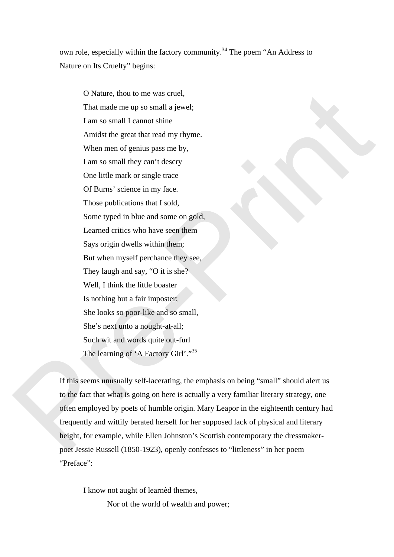own role, especially within the factory community.<sup>34</sup> The poem "An Address to Nature on Its Cruelty" begins:

O Nature, thou to me was cruel,<br>
That make one up so small a given;<br>
1 am wo small 1 cannot shine<br>
Amids the green that read my rhyme.<br>
When men of genuits press me by.<br>
1 am so small they can't descry<br>
One little mark or O Nature, thou to me was cruel, That made me up so small a jewel; I am so small I cannot shine Amidst the great that read my rhyme. When men of genius pass me by, I am so small they can't descry One little mark or single trace Of Burns' science in my face. Those publications that I sold, Some typed in blue and some on gold, Learned critics who have seen them Says origin dwells within them; But when myself perchance they see, They laugh and say, "O it is she? Well, I think the little boaster Is nothing but a fair imposter; She looks so poor-like and so small, She's next unto a nought-at-all; Such wit and words quite out-furl The learning of 'A Factory Girl'."<sup>35</sup>

If this seems unusually self-lacerating, the emphasis on being "small" should alert us to the fact that what is going on here is actually a very familiar literary strategy, one often employed by poets of humble origin. Mary Leapor in the eighteenth century had frequently and wittily berated herself for her supposed lack of physical and literary height, for example, while Ellen Johnston's Scottish contemporary the dressmakerpoet Jessie Russell (1850-1923), openly confesses to "littleness" in her poem "Preface":

I know not aught of learnèd themes, Nor of the world of wealth and power;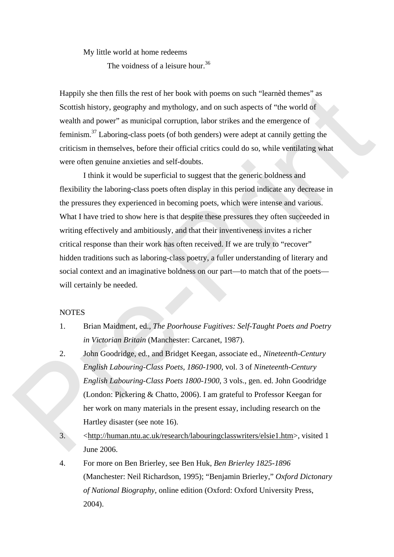## My little world at home redeems

The voidness of a leisure hour.<sup>36</sup>

Happily she then fills the rest of her book with poems on such "learnèd themes" as Scottish history, geography and mythology, and on such aspects of "the world of wealth and power" as municipal corruption, labor strikes and the emergence of feminism.37 Laboring-class poets (of both genders) were adept at cannily getting the criticism in themselves, before their official critics could do so, while ventilating what were often genuine anxieties and self-doubts.

Happily she then fills the rest of her book with poems on such "learned themes" as<br>
Sectial history, geography and mythology, and on such aspects of "the wold of<br>
weath nad prover" as municipal corruption, then emiss and I think it would be superficial to suggest that the generic boldness and flexibility the laboring-class poets often display in this period indicate any decrease in the pressures they experienced in becoming poets, which were intense and various. What I have tried to show here is that despite these pressures they often succeeded in writing effectively and ambitiously, and that their inventiveness invites a richer critical response than their work has often received. If we are truly to "recover" hidden traditions such as laboring-class poetry, a fuller understanding of literary and social context and an imaginative boldness on our part—to match that of the poets will certainly be needed.

## **NOTES**

- 1. Brian Maidment, ed., *The Poorhouse Fugitives: Self-Taught Poets and Poetry in Victorian Britain* (Manchester: Carcanet, 1987).
- 2. John Goodridge, ed., and Bridget Keegan, associate ed., *Nineteenth-Century English Labouring-Class Poets, 1860-1900*, vol. 3 of *Nineteenth-Century English Labouring-Class Poets 1800-1900*, 3 vols., gen. ed. John Goodridge (London: Pickering & Chatto, 2006). I am grateful to Professor Keegan for her work on many materials in the present essay, including research on the Hartley disaster (see note 16).
- 3. <http://human.ntu.ac.uk/research/labouringclasswriters/elsie1.htm>, visited 1 June 2006.
- 4. For more on Ben Brierley, see Ben Huk, *Ben Brierley 1825-1896* (Manchester: Neil Richardson, 1995); "Benjamin Brierley," *Oxford Dictonary of National Biography*, online edition (Oxford: Oxford University Press, 2004).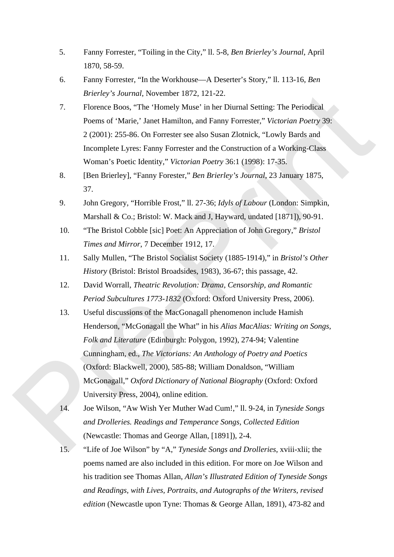- 5. Fanny Forrester, "Toiling in the City," ll. 5-8, *Ben Brierley's Journal*, April 1870, 58-59.
- 6. Fanny Forrester, "In the Workhouse—A Deserter's Story," ll. 113-16, *Ben Brierley's Journal*, November 1872, 121-22.
- 7. Florence Boos, "The 'Homely Muse' in her Diurnal Setting: The Periodical Poems of 'Marie,' Janet Hamilton, and Fanny Forrester," *Victorian Poetry* 39: 2 (2001): 255-86. On Forrester see also Susan Zlotnick, "Lowly Bards and Incomplete Lyres: Fanny Forrester and the Construction of a Working-Class Woman's Poetic Identity," *Victorian Poetry* 36:1 (1998): 17-35.
- 8. [Ben Brierley], "Fanny Forester," *Ben Brierley's Journal*, 23 January 1875, 37.
- 9. John Gregory, "Horrible Frost," ll. 27-36; *Idyls of Labour* (London: Simpkin, Marshall & Co.; Bristol: W. Mack and J. Hayward, undated [1871]), 90-91.
- 10. "The Bristol Cobble [sic] Poet: An Appreciation of John Gregory," *Bristol Times and Mirror*, 7 December 1912, 17.
- 11. Sally Mullen, "The Bristol Socialist Society (1885-1914)," in *Bristol's Other History* (Bristol: Bristol Broadsides, 1983), 36-67; this passage, 42.
- 12. David Worrall, *Theatric Revolution: Drama, Censorship, and Romantic Period Subcultures 1773-1832* (Oxford: Oxford University Press, 2006).
- *Briterley's Jounnal,* November 1872, 121-22.<br>
7. Florence Boos. "The 'Houteley Mase' in her Diural Setting: The Periodical<br>
Preme Brows. "The 'Houteley Mase' in her Diural Setting: "Victorian Poetry 39:<br>
2 (2001): 255-86 13. Useful discussions of the MacGonagall phenomenon include Hamish Henderson, "McGonagall the What" in his *Alias MacAlias: Writing on Songs, Folk and Literature* (Edinburgh: Polygon, 1992), 274-94; Valentine Cunningham, ed., *The Victorians: An Anthology of Poetry and Poetics* (Oxford: Blackwell, 2000), 585-88; William Donaldson, "William McGonagall," *Oxford Dictionary of National Biography* (Oxford: Oxford University Press, 2004), online edition.
	- 14. Joe Wilson, "Aw Wish Yer Muther Wad Cum!," ll. 9-24, in *Tyneside Songs and Drolleries. Readings and Temperance Songs, Collected Edition*  (Newcastle: Thomas and George Allan, [1891]), 2-4.
	- 15. "Life of Joe Wilson" by "A," *Tyneside Songs and Drolleries*, xviii-xlii; the poems named are also included in this edition. For more on Joe Wilson and his tradition see Thomas Allan, *Allan's Illustrated Edition of Tyneside Songs and Readings, with Lives, Portraits, and Autographs of the Writers, revised edition* (Newcastle upon Tyne: Thomas & George Allan, 1891), 473-82 and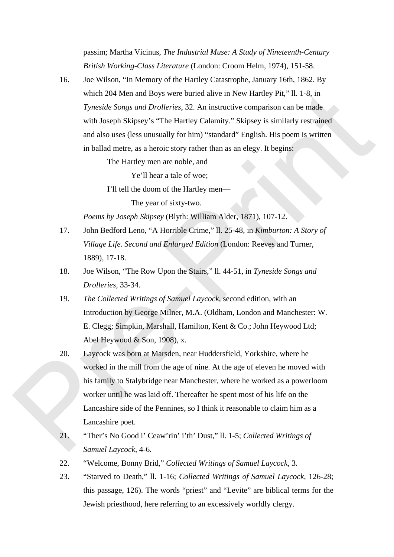passim; Martha Vicinus, *The Industrial Muse: A Study of Nineteenth-Century British Working-Class Literature* (London: Croom Helm, 1974), 151-58.

16. Joe Wilson, "In Memory of the Hartley Catastrophe, January 16th, 1862. By which 204 Men and Boys were buried alive in New Hartley Pit," ll. 1-8, in *Tyneside Songs and Drolleries*, 32. An instructive comparison can be made with Joseph Skipsey's "The Hartley Calamity." Skipsey is similarly restrained and also uses (less unusually for him) "standard" English. His poem is written in ballad metre, as a heroic story rather than as an elegy. It begins:

The Hartley men are noble, and

Ye'll hear a tale of woe;

I'll tell the doom of the Hartley men—

The year of sixty-two.

*Poems by Joseph Skipsey* (Blyth: William Alder, 1871), 107-12.

- 17. John Bedford Leno, "A Horrible Crime," ll. 25-48, in *Kimburton: A Story of Village Life. Second and Enlarged Edition* (London: Reeves and Turner, 1889), 17-18.
- 18. Joe Wilson, "The Row Upon the Stairs," ll. 44-51, in *Tyneside Songs and Drolleries*, 33-34.
- 19. *The Collected Writings of Samuel Laycock*, second edition, with an Introduction by George Milner, M.A. (Oldham, London and Manchester: W. E. Clegg; Simpkin, Marshall, Hamilton, Kent & Co.; John Heywood Ltd; Abel Heywood & Son, 1908), x.
- which 204 Mon and Boys were buried alive in New Hardey Pri," 11. 1-8, in<br> *Tyrevising and Drubleries*, 32. An instructive comparison can be nade<br>
with Jnseph Skipsey's "Fre Hartley Calamity." Skipsey is similarly restrain 20. Laycock was born at Marsden, near Huddersfield, Yorkshire, where he worked in the mill from the age of nine. At the age of eleven he moved with his family to Stalybridge near Manchester, where he worked as a powerloom worker until he was laid off. Thereafter he spent most of his life on the Lancashire side of the Pennines, so I think it reasonable to claim him as a Lancashire poet.
	- 21. "Ther's No Good i' Ceaw'rin' i'th' Dust," ll. 1-5; *Collected Writings of Samuel Laycock*, 4-6*.*
	- 22. "Welcome, Bonny Brid," *Collected Writings of Samuel Laycock*, 3.
	- 23. "Starved to Death," ll. 1-16; *Collected Writings of Samuel Laycock*, 126-28; this passage, 126). The words "priest" and "Levite" are biblical terms for the Jewish priesthood, here referring to an excessively worldly clergy.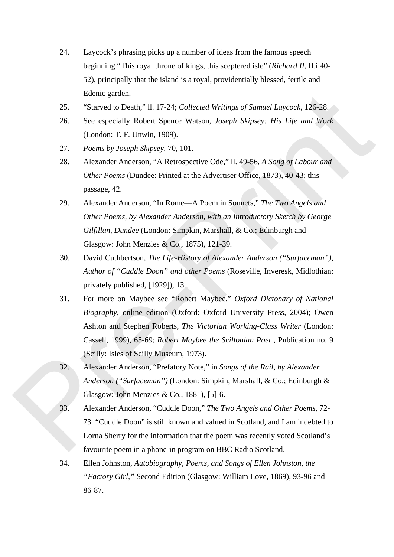- 24. Laycock's phrasing picks up a number of ideas from the famous speech beginning "This royal throne of kings, this sceptered isle" (*Richard II*, II.i.40- 52), principally that the island is a royal, providentially blessed, fertile and Edenic garden.
- 25. "Starved to Death," ll. 17-24; *Collected Writings of Samuel Laycock*, 126-28.
- 26. See especially Robert Spence Watson, *Joseph Skipsey: His Life and Work*  (London: T. F. Unwin, 1909).
- 27. *Poems by Joseph Skipsey*, 70, 101.
- 28. Alexander Anderson, "A Retrospective Ode," ll. 49-56, *A Song of Labour and Other Poems* (Dundee: Printed at the Advertiser Office, 1873), 40-43; this passage, 42.
- 29. Alexander Anderson, "In Rome—A Poem in Sonnets," *The Two Angels and Other Poems, by Alexander Anderson, with an Introductory Sketch by George Gilfillan, Dundee* (London: Simpkin, Marshall, & Co.; Edinburgh and Glasgow: John Menzies & Co., 1875), 121-39.
- 30. David Cuthbertson, *The Life-History of Alexander Anderson ("Surfaceman"), Author of "Cuddle Doon" and other Poems* (Roseville, Inveresk, Midlothian: privately published, [1929]), 13.
- Edenic garden.<br>
25. "Siarved to Death." II. 17-24; Collected Writings of Samuel Layevek, 126-28.<br>
26. Siarve especially Robert Spence Watson, Joseph Melpey: *His Life and Work*<br>
1. Condon: T. F. Unwin, 1909).<br>
27. Poeten 31. For more on Maybee see "Robert Maybee," *Oxford Dictonary of National Biography*, online edition (Oxford: Oxford University Press, 2004); Owen Ashton and Stephen Roberts, *The Victorian Working-Class Writer* (London: Cassell, 1999), 65-69; *Robert Maybee the Scillonian Poet* , Publication no. 9 (Scilly: Isles of Scilly Museum, 1973).
	- 32. Alexander Anderson, "Prefatory Note," in *Songs of the Rail, by Alexander Anderson ("Surfaceman")* (London: Simpkin, Marshall, & Co.; Edinburgh & Glasgow: John Menzies & Co., 1881), [5]-6.
	- 33. Alexander Anderson, "Cuddle Doon," *The Two Angels and Other Poems*, 72- 73. "Cuddle Doon" is still known and valued in Scotland, and I am indebted to Lorna Sherry for the information that the poem was recently voted Scotland's favourite poem in a phone-in program on BBC Radio Scotland.
	- 34. Ellen Johnston, *Autobiography, Poems, and Songs of Ellen Johnston, the "Factory Girl,"* Second Edition (Glasgow: William Love, 1869), 93-96 and 86-87.